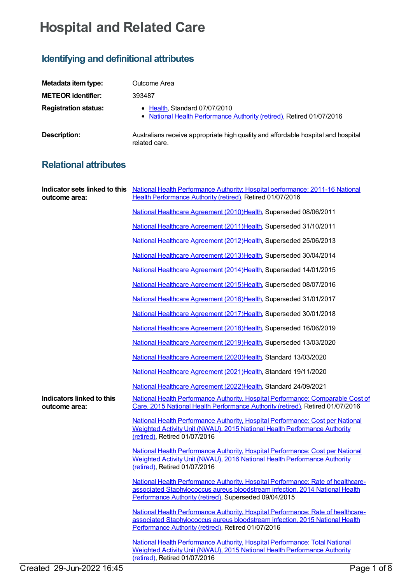## **Hospital and Related Care**

## **Identifying and definitional attributes**

| Metadata item type:         | Outcome Area                                                                                           |
|-----------------------------|--------------------------------------------------------------------------------------------------------|
| <b>METEOR identifier:</b>   | 393487                                                                                                 |
| <b>Registration status:</b> | • Health, Standard 07/07/2010<br>• National Health Performance Authority (retired), Retired 01/07/2016 |
| Description:                | Australians receive appropriate high quality and affordable hospital and hospital<br>related care.     |

## **Relational attributes**

| outcome area:                              | Indicator sets linked to this National Health Performance Authority: Hospital performance: 2011-16 National<br>Health Performance Authority (retired), Retired 01/07/2016                                                  |
|--------------------------------------------|----------------------------------------------------------------------------------------------------------------------------------------------------------------------------------------------------------------------------|
|                                            | National Healthcare Agreement (2010)Health, Superseded 08/06/2011                                                                                                                                                          |
|                                            | National Healthcare Agreement (2011) Health, Superseded 31/10/2011                                                                                                                                                         |
|                                            | National Healthcare Agreement (2012)Health, Superseded 25/06/2013                                                                                                                                                          |
|                                            | National Healthcare Agreement (2013)Health, Superseded 30/04/2014                                                                                                                                                          |
|                                            | National Healthcare Agreement (2014) Health, Superseded 14/01/2015                                                                                                                                                         |
|                                            | National Healthcare Agreement (2015)Health, Superseded 08/07/2016                                                                                                                                                          |
|                                            | National Healthcare Agreement (2016)Health, Superseded 31/01/2017                                                                                                                                                          |
|                                            | National Healthcare Agreement (2017) Health, Superseded 30/01/2018                                                                                                                                                         |
|                                            | National Healthcare Agreement (2018)Health, Superseded 16/06/2019                                                                                                                                                          |
|                                            | National Healthcare Agreement (2019)Health, Superseded 13/03/2020                                                                                                                                                          |
|                                            | National Healthcare Agreement (2020)Health, Standard 13/03/2020                                                                                                                                                            |
|                                            | National Healthcare Agreement (2021) Health, Standard 19/11/2020                                                                                                                                                           |
|                                            | National Healthcare Agreement (2022)Health, Standard 24/09/2021                                                                                                                                                            |
| Indicators linked to this<br>outcome area: | National Health Performance Authority, Hospital Performance: Comparable Cost of<br>Care, 2015 National Health Performance Authority (retired), Retired 01/07/2016                                                          |
|                                            | National Health Performance Authority, Hospital Performance: Cost per National<br>Weighted Activity Unit (NWAU), 2015 National Health Performance Authority<br>(retired), Retired 01/07/2016                               |
|                                            | National Health Performance Authority, Hospital Performance: Cost per National<br>Weighted Activity Unit (NWAU), 2016 National Health Performance Authority<br>(retired), Retired 01/07/2016                               |
|                                            | National Health Performance Authority, Hospital Performance: Rate of healthcare-<br>associated Staphylococcus aureus bloodstream infection, 2014 National Health<br>Performance Authority (retired), Superseded 09/04/2015 |
|                                            | National Health Performance Authority, Hospital Performance: Rate of healthcare-<br>associated Staphylococcus aureus bloodstream infection, 2015 National Health<br>Performance Authority (retired), Retired 01/07/2016    |
|                                            | National Health Performance Authority, Hospital Performance: Total National<br>Weighted Activity Unit (NWAU), 2015 National Health Performance Authority<br>(retired), Retired 01/07/2016                                  |
| Created 29-Jun-2022 16:45                  | Page 1 of 8                                                                                                                                                                                                                |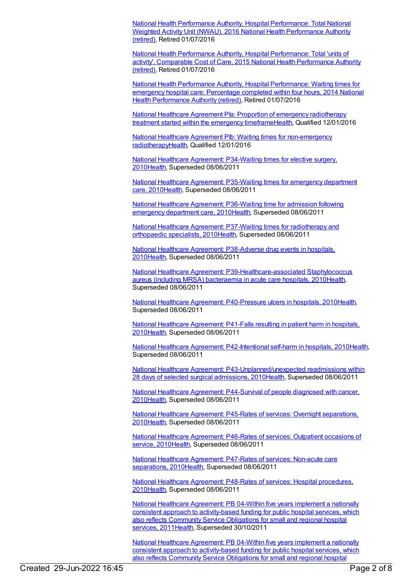National Health Performance Authority, Hospital [Performance:](https://meteor.aihw.gov.au/content/635556) Total National Weighted Activity Unit (NWAU), 2016 National Health [Performance](https://meteor.aihw.gov.au/RegistrationAuthority/8) Authority (retired), Retired 01/07/2016

National Health Performance Authority, Hospital [Performance:](https://meteor.aihw.gov.au/content/602645) Total 'units of activity', Comparable Cost of Care, 2015 National Health [Performance](https://meteor.aihw.gov.au/RegistrationAuthority/8) Authority (retired), Retired 01/07/2016

National Health Performance Authority, Hospital [Performance:](https://meteor.aihw.gov.au/content/558277) Waiting times for emergency hospital care: [Percentage](https://meteor.aihw.gov.au/RegistrationAuthority/8) completed within four hours, 2014 National Health Performance Authority (retired), Retired 01/07/2016

National Healthcare Agreement PIa: Proportion of emergency radiotherapy treatment started within the emergency [timeframeHealth,](https://meteor.aihw.gov.au/content/595028) Qualified 12/01/2016

National Healthcare Agreement PIb: Waiting times for non-emergency [radiotherapyHealth,](https://meteor.aihw.gov.au/content/594454) Qualified 12/01/2016

National Healthcare Agreement: [P34-Waiting](https://meteor.aihw.gov.au/content/395010) times for elective surgery, 201[0Health](https://meteor.aihw.gov.au/RegistrationAuthority/12), Superseded 08/06/2011

National Healthcare Agreement: [P35-Waiting](https://meteor.aihw.gov.au/content/395017) times for emergency department care, 201[0Health](https://meteor.aihw.gov.au/RegistrationAuthority/12), Superseded 08/06/2011

National Healthcare Agreement: [P36-Waiting](https://meteor.aihw.gov.au/content/395019) time for admission following emergency department care, 201[0Health,](https://meteor.aihw.gov.au/RegistrationAuthority/12) Superseded 08/06/2011

National Healthcare Agreement: P37-Waiting times for [radiotherapy](https://meteor.aihw.gov.au/content/395064) and orthopaedic specialists, 201[0Health](https://meteor.aihw.gov.au/RegistrationAuthority/12), Superseded 08/06/2011

National Healthcare Agreement: [P38-Adverse](https://meteor.aihw.gov.au/content/395066) drug events in hospitals, 201[0Health](https://meteor.aihw.gov.au/RegistrationAuthority/12), Superseded 08/06/2011

National Healthcare Agreement: [P39-Healthcare-associated](https://meteor.aihw.gov.au/content/395068) Staphylococcus aureus (including MRSA) bacteraemia in acute care hospitals, 201[0Health](https://meteor.aihw.gov.au/RegistrationAuthority/12), Superseded 08/06/2011

National Healthcare Agreement: [P40-Pressure](https://meteor.aihw.gov.au/content/395073) ulcers in hospitals, 2010[Health](https://meteor.aihw.gov.au/RegistrationAuthority/12), Superseded 08/06/2011

National Healthcare [Agreement:](https://meteor.aihw.gov.au/content/395076) P41-Falls resulting in patient harm in hospitals, 201[0Health](https://meteor.aihw.gov.au/RegistrationAuthority/12), Superseded 08/06/2011

National Healthcare Agreement: [P42-Intentional](https://meteor.aihw.gov.au/content/395079) self-harm in hospitals, 201[0Health](https://meteor.aihw.gov.au/RegistrationAuthority/12), Superseded 08/06/2011

National Healthcare Agreement: [P43-Unplanned/unexpected](https://meteor.aihw.gov.au/content/395081) readmissions within 28 days of selected surgical admissions, 201[0Health](https://meteor.aihw.gov.au/RegistrationAuthority/12), Superseded 08/06/2011

National Healthcare Agreement: [P44-Survival](https://meteor.aihw.gov.au/content/395085) of people diagnosed with cancer, 201[0Health](https://meteor.aihw.gov.au/RegistrationAuthority/12), Superseded 08/06/2011

National Healthcare Agreement: P45-Rates of services: Overnight [separations,](https://meteor.aihw.gov.au/content/395088) 201[0Health](https://meteor.aihw.gov.au/RegistrationAuthority/12), Superseded 08/06/2011

National Healthcare [Agreement:](https://meteor.aihw.gov.au/content/395091) P46-Rates of services: Outpatient occasions of service, 2010[Health,](https://meteor.aihw.gov.au/RegistrationAuthority/12) Superseded 08/06/2011

National Healthcare [Agreement:](https://meteor.aihw.gov.au/content/395093) P47-Rates of services: Non-acute care separations, 201[0Health](https://meteor.aihw.gov.au/RegistrationAuthority/12), Superseded 08/06/2011

National Healthcare [Agreement:](https://meteor.aihw.gov.au/content/395095) P48-Rates of services: Hospital procedures, 201[0Health](https://meteor.aihw.gov.au/RegistrationAuthority/12), Superseded 08/06/2011

National Healthcare Agreement: PB 04-Within five years implement a nationally consistent approach to [activity-based](https://meteor.aihw.gov.au/content/428996) funding for public hospital services, which also reflects Community Service Obligations for small and regional hospital services, 2011 Health, Superseded 30/10/2011

National Healthcare Agreement: PB 04-Within five years implement a nationally consistent approach to [activity-based](https://meteor.aihw.gov.au/content/435830) funding for public hospital services, which also reflects Community Service Obligations for small and regional hospital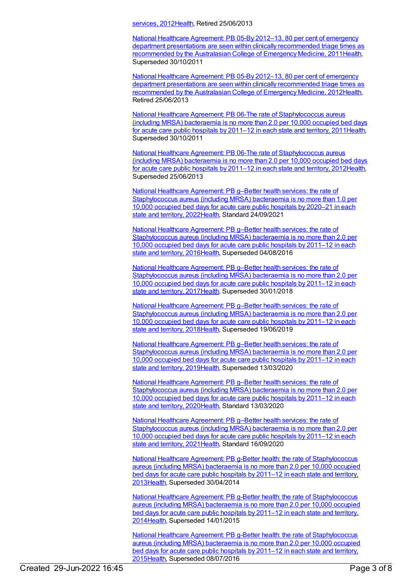services, 201[2Health](https://meteor.aihw.gov.au/RegistrationAuthority/12), Retired 25/06/2013

National Healthcare Agreement: PB 05-By 2012–13, 80 per cent of emergency department presentations are seen within clinically [recommended](https://meteor.aihw.gov.au/content/428999) triage times as recommended by the Australasian College of Emergency Medicine, 201[1Health](https://meteor.aihw.gov.au/RegistrationAuthority/12), Superseded 30/10/2011

National Healthcare Agreement: PB 05-By 2012–13, 80 per cent of emergency department presentations are seen within clinically [recommended](https://meteor.aihw.gov.au/content/435832) triage times as recommended by the Australasian College of Emergency Medicine, 201[2Health](https://meteor.aihw.gov.au/RegistrationAuthority/12), Retired 25/06/2013

National Healthcare Agreement: PB 06-The rate of [Staphylococcus](https://meteor.aihw.gov.au/content/429156) aureus (including MRSA) bacteraemia is no more than 2.0 per 10,000 occupied bed days for acute care public hospitals by 2011–12 in each state and territory, 201[1Health](https://meteor.aihw.gov.au/RegistrationAuthority/12), Superseded 30/10/2011

National Healthcare Agreement: PB 06-The rate of [Staphylococcus](https://meteor.aihw.gov.au/content/443693) aureus (including MRSA) bacteraemia is no more than 2.0 per 10,000 occupied bed days for acute care public hospitals by 2011–12 in each state and territory, 201[2Health](https://meteor.aihw.gov.au/RegistrationAuthority/12), Superseded 25/06/2013

National Healthcare Agreement: PB g–Better health services: the rate of [Staphylococcus](https://meteor.aihw.gov.au/content/740896) aureus (including MRSA) bacteraemia is no more than 1.0 per 10,000 occupied bed days for acute care public hospitals by 2020–21 in each state and territory, 2022[Health,](https://meteor.aihw.gov.au/RegistrationAuthority/12) Standard 24/09/2021

National Healthcare Agreement: PB g–Better health services: the rate of [Staphylococcus](https://meteor.aihw.gov.au/content/598849) aureus (including MRSA) bacteraemia is no more than 2.0 per 10,000 occupied bed days for acute care public hospitals by 2011–12 in each state and territory, 2016[Health,](https://meteor.aihw.gov.au/RegistrationAuthority/12) Superseded 04/08/2016

National Healthcare Agreement: PB g–Better health services: the rate of [Staphylococcus](https://meteor.aihw.gov.au/content/629982) aureus (including MRSA) bacteraemia is no more than 2.0 per 10,000 occupied bed days for acute care public hospitals by 2011–12 in each state and territory, 2017[Health,](https://meteor.aihw.gov.au/RegistrationAuthority/12) Superseded 30/01/2018

National Healthcare Agreement: PB g–Better health services: the rate of [Staphylococcus](https://meteor.aihw.gov.au/content/658536) aureus (including MRSA) bacteraemia is no more than 2.0 per 10,000 occupied bed days for acute care public hospitals by 2011–12 in each state and territory, 2018[Health,](https://meteor.aihw.gov.au/RegistrationAuthority/12) Superseded 19/06/2019

National Healthcare Agreement: PB g–Better health services: the rate of [Staphylococcus](https://meteor.aihw.gov.au/content/698940) aureus (including MRSA) bacteraemia is no more than 2.0 per 10,000 occupied bed days for acute care public hospitals by 2011–12 in each state and territory, 2019[Health,](https://meteor.aihw.gov.au/RegistrationAuthority/12) Superseded 13/03/2020

National Healthcare Agreement: PB g–Better health services: the rate of [Staphylococcus](https://meteor.aihw.gov.au/content/716267) aureus (including MRSA) bacteraemia is no more than 2.0 per 10,000 occupied bed days for acute care public hospitals by 2011–12 in each state and territory, 2020[Health,](https://meteor.aihw.gov.au/RegistrationAuthority/12) Standard 13/03/2020

National Healthcare Agreement: PB g–Better health services: the rate of [Staphylococcus](https://meteor.aihw.gov.au/content/725830) aureus (including MRSA) bacteraemia is no more than 2.0 per 10,000 occupied bed days for acute care public hospitals by 2011–12 in each state and territory, 2021[Health,](https://meteor.aihw.gov.au/RegistrationAuthority/12) Standard 16/09/2020

National Healthcare Agreement: PB g-Better health: the rate of [Staphylococcus](https://meteor.aihw.gov.au/content/498327) aureus (including MRSA) bacteraemia is no more than 2.0 per 10,000 occupied bed days for acute care public hospitals by 2011–12 in each state and territory, 201[3Health](https://meteor.aihw.gov.au/RegistrationAuthority/12), Superseded 30/04/2014

National Healthcare Agreement: PB g-Better health: the rate of [Staphylococcus](https://meteor.aihw.gov.au/content/517690) aureus (including MRSA) bacteraemia is no more than 2.0 per 10,000 occupied bed days for acute care public hospitals by 2011–12 in each state and territory, 201[4Health](https://meteor.aihw.gov.au/RegistrationAuthority/12), Superseded 14/01/2015

National Healthcare Agreement: PB g-Better health: the rate of [Staphylococcus](https://meteor.aihw.gov.au/content/559068) aureus (including MRSA) bacteraemia is no more than 2.0 per 10,000 occupied bed days for acute care public hospitals by 2011–12 in each state and territory, 201[5Health](https://meteor.aihw.gov.au/RegistrationAuthority/12), Superseded 08/07/2016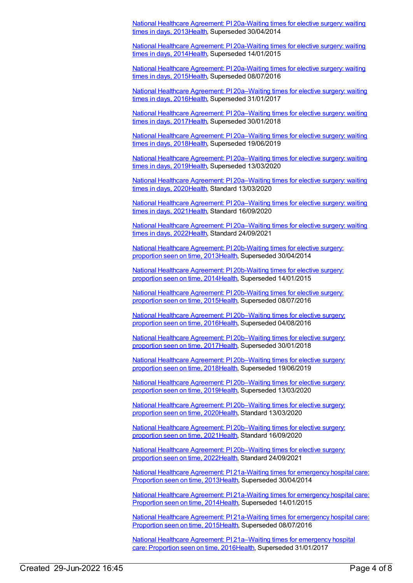National Healthcare Agreement: PI [20a-Waiting](https://meteor.aihw.gov.au/content/497219) times for elective surgery: waiting times in days, 201[3Health](https://meteor.aihw.gov.au/RegistrationAuthority/12), Superseded 30/04/2014

National Healthcare Agreement: PI [20a-Waiting](https://meteor.aihw.gov.au/content/517644) times for elective surgery: waiting times in days, 201[4Health](https://meteor.aihw.gov.au/RegistrationAuthority/12), Superseded 14/01/2015

National Healthcare Agreement: PI [20a-Waiting](https://meteor.aihw.gov.au/content/559030) times for elective surgery: waiting times in days, 201[5Health](https://meteor.aihw.gov.au/RegistrationAuthority/12), Superseded 08/07/2016

National Healthcare Agreement: PI [20a–Waiting](https://meteor.aihw.gov.au/content/598742) times for elective surgery: waiting times in days, 201[6Health](https://meteor.aihw.gov.au/RegistrationAuthority/12), Superseded 31/01/2017

National Healthcare Agreement: PI [20a–Waiting](https://meteor.aihw.gov.au/content/630038) times for elective surgery: waiting times in days, 201[7Health](https://meteor.aihw.gov.au/RegistrationAuthority/12), Superseded 30/01/2018

National Healthcare Agreement: PI [20a–Waiting](https://meteor.aihw.gov.au/content/658495) times for elective surgery: waiting times in days, 201[8Health](https://meteor.aihw.gov.au/RegistrationAuthority/12), Superseded 19/06/2019

National Healthcare Agreement: PI [20a–Waiting](https://meteor.aihw.gov.au/content/698999) times for elective surgery: waiting times in days, 201[9Health](https://meteor.aihw.gov.au/RegistrationAuthority/12), Superseded 13/03/2020

National Healthcare Agreement: PI [20a–Waiting](https://meteor.aihw.gov.au/content/716570) times for elective surgery: waiting times in days, 202[0Health](https://meteor.aihw.gov.au/RegistrationAuthority/12), Standard 13/03/2020

National Healthcare Agreement: PI [20a–Waiting](https://meteor.aihw.gov.au/content/725789) times for elective surgery: waiting times in days, 202[1Health](https://meteor.aihw.gov.au/RegistrationAuthority/12), Standard 16/09/2020

National Healthcare Agreement: PI [20a–Waiting](https://meteor.aihw.gov.au/content/740845) times for elective surgery: waiting times in days, 202[2Health](https://meteor.aihw.gov.au/RegistrationAuthority/12), Standard 24/09/2021

National Healthcare Agreement: PI [20b-Waiting](https://meteor.aihw.gov.au/content/497217) times for elective surgery: proportion seen on time, 2013[Health](https://meteor.aihw.gov.au/RegistrationAuthority/12), Superseded 30/04/2014

National Healthcare Agreement: PI [20b-Waiting](https://meteor.aihw.gov.au/content/517642) times for elective surgery: proportion seen on time, 2014[Health](https://meteor.aihw.gov.au/RegistrationAuthority/12), Superseded 14/01/2015

National Healthcare Agreement: PI [20b-Waiting](https://meteor.aihw.gov.au/content/559028) times for elective surgery: proportion seen on time, 2015[Health](https://meteor.aihw.gov.au/RegistrationAuthority/12), Superseded 08/07/2016

National Healthcare Agreement: PI [20b–Waiting](https://meteor.aihw.gov.au/content/598740) times for elective surgery: proportion seen on time, 2016[Health](https://meteor.aihw.gov.au/RegistrationAuthority/12), Superseded 04/08/2016

National Healthcare Agreement: PI [20b–Waiting](https://meteor.aihw.gov.au/content/630040) times for elective surgery: proportion seen on time, 2017[Health](https://meteor.aihw.gov.au/RegistrationAuthority/12), Superseded 30/01/2018

National Healthcare Agreement: PI [20b–Waiting](https://meteor.aihw.gov.au/content/658493) times for elective surgery: proportion seen on time, 2018[Health](https://meteor.aihw.gov.au/RegistrationAuthority/12), Superseded 19/06/2019

National Healthcare Agreement: PI [20b–Waiting](https://meteor.aihw.gov.au/content/698900) times for elective surgery: proportion seen on time, 2019[Health](https://meteor.aihw.gov.au/RegistrationAuthority/12), Superseded 13/03/2020

National Healthcare Agreement: PI [20b–Waiting](https://meteor.aihw.gov.au/content/716575) times for elective surgery: proportion seen on time, 2020[Health](https://meteor.aihw.gov.au/RegistrationAuthority/12), Standard 13/03/2020

National Healthcare Agreement: PI 20b-Waiting times for elective surgery: proportion seen on time, 2021[Health](https://meteor.aihw.gov.au/RegistrationAuthority/12), Standard 16/09/2020

National Healthcare Agreement: PI [20b–Waiting](https://meteor.aihw.gov.au/content/740843) times for elective surgery: proportion seen on time, 2022[Health](https://meteor.aihw.gov.au/RegistrationAuthority/12), Standard 24/09/2021

National Healthcare Agreement: PI [21a-Waiting](https://meteor.aihw.gov.au/content/497186) times for emergency hospital care: Proportion seen on time, 201[3Health](https://meteor.aihw.gov.au/RegistrationAuthority/12), Superseded 30/04/2014

National Healthcare Agreement: PI [21a-Waiting](https://meteor.aihw.gov.au/content/517640) times for emergency hospital care: Proportion seen on time, 201[4Health](https://meteor.aihw.gov.au/RegistrationAuthority/12), Superseded 14/01/2015

National Healthcare Agreement: PI [21a-Waiting](https://meteor.aihw.gov.au/content/559026) times for emergency hospital care: Proportion seen on time, 201[5Health](https://meteor.aihw.gov.au/RegistrationAuthority/12), Superseded 08/07/2016

National Healthcare Agreement: PI [21a–Waiting](https://meteor.aihw.gov.au/content/598738) times for emergency hospital care: Proportion seen on time, 201[6Health,](https://meteor.aihw.gov.au/RegistrationAuthority/12) Superseded 31/01/2017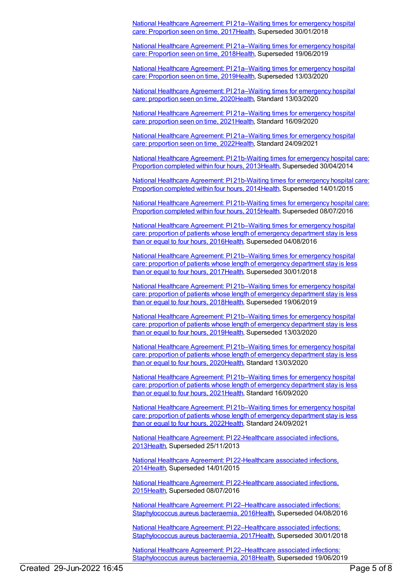National Healthcare Agreement: PI [21a–Waiting](https://meteor.aihw.gov.au/content/630043) times for emergency hospital care: Proportion seen on time, 201[7Health,](https://meteor.aihw.gov.au/RegistrationAuthority/12) Superseded 30/01/2018

National Healthcare Agreement: PI [21a–Waiting](https://meteor.aihw.gov.au/content/658491) times for emergency hospital care: Proportion seen on time, 201[8Health,](https://meteor.aihw.gov.au/RegistrationAuthority/12) Superseded 19/06/2019

National Healthcare Agreement: PI [21a–Waiting](https://meteor.aihw.gov.au/content/698898) times for emergency hospital care: Proportion seen on time, 201[9Health,](https://meteor.aihw.gov.au/RegistrationAuthority/12) Superseded 13/03/2020

National Healthcare Agreement: PI [21a–Waiting](https://meteor.aihw.gov.au/content/716686) times for emergency hospital care: proportion seen on time, 202[0Health](https://meteor.aihw.gov.au/RegistrationAuthority/12), Standard 13/03/2020

National Healthcare Agreement: PI [21a–Waiting](https://meteor.aihw.gov.au/content/725785) times for emergency hospital care: proportion seen on time, 202[1Health](https://meteor.aihw.gov.au/RegistrationAuthority/12), Standard 16/09/2020

National Healthcare Agreement: PI [21a–Waiting](https://meteor.aihw.gov.au/content/740840) times for emergency hospital care: proportion seen on time, 202[2Health](https://meteor.aihw.gov.au/RegistrationAuthority/12), Standard 24/09/2021

National Healthcare Agreement: PI [21b-Waiting](https://meteor.aihw.gov.au/content/497210) times for emergency hospital care: Proportion completed within four hours, 201[3Health](https://meteor.aihw.gov.au/RegistrationAuthority/12), Superseded 30/04/2014

National Healthcare Agreement: PI [21b-Waiting](https://meteor.aihw.gov.au/content/517638) times for emergency hospital care: Proportion completed within four hours, 201[4Health](https://meteor.aihw.gov.au/RegistrationAuthority/12), Superseded 14/01/2015

National Healthcare Agreement: PI [21b-Waiting](https://meteor.aihw.gov.au/content/559024) times for emergency hospital care: Proportion completed within four hours, 201[5Health](https://meteor.aihw.gov.au/RegistrationAuthority/12), Superseded 08/07/2016

National Healthcare Agreement: PI [21b–Waiting](https://meteor.aihw.gov.au/content/598736) times for emergency hospital care: proportion of patients whose length of emergency department stay is less than or equal to four hours, 201[6Health](https://meteor.aihw.gov.au/RegistrationAuthority/12), Superseded 04/08/2016

National Healthcare Agreement: PI [21b–Waiting](https://meteor.aihw.gov.au/content/630045) times for emergency hospital care: proportion of patients whose length of emergency department stay is less than or equal to four hours, 201[7Health](https://meteor.aihw.gov.au/RegistrationAuthority/12), Superseded 30/01/2018

National Healthcare Agreement: PI [21b–Waiting](https://meteor.aihw.gov.au/content/658489) times for emergency hospital care: proportion of patients whose length of emergency department stay is less than or equal to four hours, 201[8Health](https://meteor.aihw.gov.au/RegistrationAuthority/12), Superseded 19/06/2019

National Healthcare Agreement: PI [21b–Waiting](https://meteor.aihw.gov.au/content/698895) times for emergency hospital care: proportion of patients whose length of emergency department stay is less than or equal to four hours, 201[9Health](https://meteor.aihw.gov.au/RegistrationAuthority/12), Superseded 13/03/2020

National Healthcare Agreement: PI [21b–Waiting](https://meteor.aihw.gov.au/content/716695) times for emergency hospital care: proportion of patients whose length of emergency department stay is less than or equal to four hours, 202[0Health](https://meteor.aihw.gov.au/RegistrationAuthority/12), Standard 13/03/2020

National Healthcare Agreement: PI [21b–Waiting](https://meteor.aihw.gov.au/content/725783) times for emergency hospital care: proportion of patients whose length of emergency department stay is less than or equal to four hours, 202[1Health](https://meteor.aihw.gov.au/RegistrationAuthority/12), Standard 16/09/2020

National Healthcare Agreement: PI [21b–Waiting](https://meteor.aihw.gov.au/content/740838) times for emergency hospital care: proportion of patients whose length of emergency department stay is less than or equal to four hours, 202[2Health](https://meteor.aihw.gov.au/RegistrationAuthority/12), Standard 24/09/2021

National Healthcare Agreement: PI [22-Healthcare](https://meteor.aihw.gov.au/content/497153) associated infections, 201[3Health](https://meteor.aihw.gov.au/RegistrationAuthority/12), Superseded 25/11/2013

National Healthcare Agreement: PI [22-Healthcare](https://meteor.aihw.gov.au/content/517636) associated infections, 201[4Health](https://meteor.aihw.gov.au/RegistrationAuthority/12), Superseded 14/01/2015

National Healthcare Agreement: PI [22-Healthcare](https://meteor.aihw.gov.au/content/559022) associated infections, 201[5Health](https://meteor.aihw.gov.au/RegistrationAuthority/12), Superseded 08/07/2016

National Healthcare Agreement: PI [22–Healthcare](https://meteor.aihw.gov.au/content/598734) associated infections: Staphylococcus aureus bacteraemia, 201[6Health](https://meteor.aihw.gov.au/RegistrationAuthority/12), Superseded 04/08/2016

National Healthcare Agreement: PI [22–Healthcare](https://meteor.aihw.gov.au/content/630047) associated infections: Staphylococcus aureus bacteraemia, 201[7Health](https://meteor.aihw.gov.au/RegistrationAuthority/12), Superseded 30/01/2018

National Healthcare Agreement: PI [22–Healthcare](https://meteor.aihw.gov.au/content/658487) associated infections: Staphylococcus aureus bacteraemia, 201[8Health](https://meteor.aihw.gov.au/RegistrationAuthority/12), Superseded 19/06/2019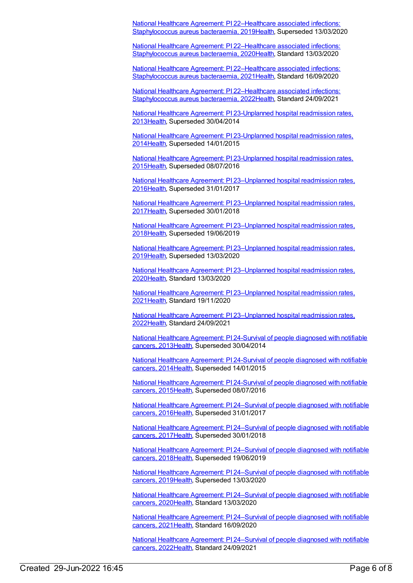National Healthcare Agreement: PI [22–Healthcare](https://meteor.aihw.gov.au/content/698892) associated infections: Staphylococcus aureus bacteraemia, 201[9Health](https://meteor.aihw.gov.au/RegistrationAuthority/12), Superseded 13/03/2020

National Healthcare Agreement: PI [22–Healthcare](https://meteor.aihw.gov.au/content/716702) associated infections: Staphylococcus aureus bacteraemia, 202[0Health](https://meteor.aihw.gov.au/RegistrationAuthority/12), Standard 13/03/2020

National Healthcare Agreement: PI [22–Healthcare](https://meteor.aihw.gov.au/content/725781) associated infections: Staphylococcus aureus bacteraemia, 202[1Health](https://meteor.aihw.gov.au/RegistrationAuthority/12), Standard 16/09/2020

National Healthcare Agreement: PI [22–Healthcare](https://meteor.aihw.gov.au/content/740834) associated infections: Staphylococcus aureus bacteraemia, 202[2Health](https://meteor.aihw.gov.au/RegistrationAuthority/12), Standard 24/09/2021

National Healthcare Agreement: PI [23-Unplanned](https://meteor.aihw.gov.au/content/497129) hospital readmission rates, 201[3Health](https://meteor.aihw.gov.au/RegistrationAuthority/12), Superseded 30/04/2014

National Healthcare Agreement: PI [23-Unplanned](https://meteor.aihw.gov.au/content/517634) hospital readmission rates, 201[4Health](https://meteor.aihw.gov.au/RegistrationAuthority/12), Superseded 14/01/2015

National Healthcare Agreement: PI [23-Unplanned](https://meteor.aihw.gov.au/content/559020) hospital readmission rates, 201[5Health](https://meteor.aihw.gov.au/RegistrationAuthority/12), Superseded 08/07/2016

National Healthcare Agreement: PI [23–Unplanned](https://meteor.aihw.gov.au/content/598732) hospital readmission rates, 201[6Health](https://meteor.aihw.gov.au/RegistrationAuthority/12), Superseded 31/01/2017

National Healthcare Agreement: PI [23–Unplanned](https://meteor.aihw.gov.au/content/630049) hospital readmission rates, 201[7Health](https://meteor.aihw.gov.au/RegistrationAuthority/12), Superseded 30/01/2018

National Healthcare Agreement: PI [23–Unplanned](https://meteor.aihw.gov.au/content/658485) hospital readmission rates, 201[8Health](https://meteor.aihw.gov.au/RegistrationAuthority/12), Superseded 19/06/2019

National Healthcare Agreement: PI [23–Unplanned](https://meteor.aihw.gov.au/content/698890) hospital readmission rates, 201[9Health](https://meteor.aihw.gov.au/RegistrationAuthority/12), Superseded 13/03/2020

National Healthcare Agreement: PI [23–Unplanned](https://meteor.aihw.gov.au/content/716786) hospital readmission rates, 202[0Health](https://meteor.aihw.gov.au/RegistrationAuthority/12), Standard 13/03/2020

National Healthcare Agreement: PI [23–Unplanned](https://meteor.aihw.gov.au/content/725779) hospital readmission rates, 202[1Health](https://meteor.aihw.gov.au/RegistrationAuthority/12), Standard 19/11/2020

National Healthcare Agreement: PI [23–Unplanned](https://meteor.aihw.gov.au/content/742756) hospital readmission rates, 202[2Health](https://meteor.aihw.gov.au/RegistrationAuthority/12), Standard 24/09/2021

National Healthcare [Agreement:](https://meteor.aihw.gov.au/content/497121) PI 24-Survival of people diagnosed with notifiable cancers, 201[3Health,](https://meteor.aihw.gov.au/RegistrationAuthority/12) Superseded 30/04/2014

National Healthcare [Agreement:](https://meteor.aihw.gov.au/content/517632) PI 24-Survival of people diagnosed with notifiable cancers, 201[4Health,](https://meteor.aihw.gov.au/RegistrationAuthority/12) Superseded 14/01/2015

National Healthcare [Agreement:](https://meteor.aihw.gov.au/content/559018) PI 24-Survival of people diagnosed with notifiable cancers, 201[5Health,](https://meteor.aihw.gov.au/RegistrationAuthority/12) Superseded 08/07/2016

National Healthcare Agreement: PI [24–Survival](https://meteor.aihw.gov.au/content/598730) of people diagnosed with notifiable cancers, 201[6Health,](https://meteor.aihw.gov.au/RegistrationAuthority/12) Superseded 31/01/2017

National Healthcare Agreement: PI [24–Survival](https://meteor.aihw.gov.au/content/630051) of people diagnosed with notifiable cancers, 201[7Health,](https://meteor.aihw.gov.au/RegistrationAuthority/12) Superseded 30/01/2018

National Healthcare Agreement: PI [24–Survival](https://meteor.aihw.gov.au/content/658483) of people diagnosed with notifiable cancers, 201[8Health,](https://meteor.aihw.gov.au/RegistrationAuthority/12) Superseded 19/06/2019

National Healthcare Agreement: PI [24–Survival](https://meteor.aihw.gov.au/content/698888) of people diagnosed with notifiable cancers, 201[9Health,](https://meteor.aihw.gov.au/RegistrationAuthority/12) Superseded 13/03/2020

National Healthcare Agreement: PI [24–Survival](https://meteor.aihw.gov.au/content/716829) of people diagnosed with notifiable cancers, 202[0Health,](https://meteor.aihw.gov.au/RegistrationAuthority/12) Standard 13/03/2020

National Healthcare Agreement: PI [24–Survival](https://meteor.aihw.gov.au/content/725775) of people diagnosed with notifiable cancers, 202[1Health,](https://meteor.aihw.gov.au/RegistrationAuthority/12) Standard 16/09/2020

National Healthcare Agreement: PI [24–Survival](https://meteor.aihw.gov.au/content/740830) of people diagnosed with notifiable cancers, 202[2Health,](https://meteor.aihw.gov.au/RegistrationAuthority/12) Standard 24/09/2021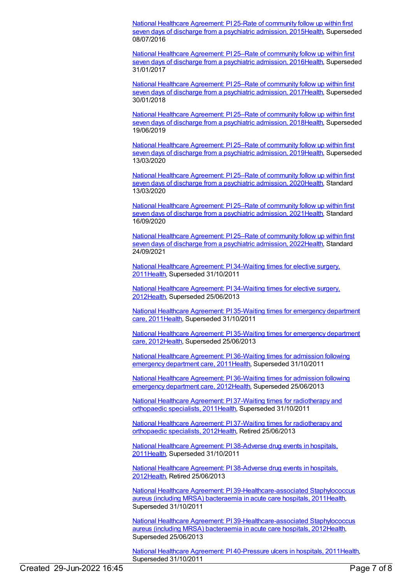National Healthcare [Agreement:](https://meteor.aihw.gov.au/content/559016) PI 25-Rate of community follow up within first seven days of discharge from a psychiatric admission, 2015[Health](https://meteor.aihw.gov.au/RegistrationAuthority/12), Superseded 08/07/2016

National Healthcare [Agreement:](https://meteor.aihw.gov.au/content/598728) PI 25–Rate of community follow up within first seven days of discharge from a psychiatric admission, 2016[Health](https://meteor.aihw.gov.au/RegistrationAuthority/12), Superseded 31/01/2017

National Healthcare [Agreement:](https://meteor.aihw.gov.au/content/630053) PI 25–Rate of community follow up within first seven days of discharge from a psychiatric admission, 2017 [Health](https://meteor.aihw.gov.au/RegistrationAuthority/12), Superseded 30/01/2018

National Healthcare [Agreement:](https://meteor.aihw.gov.au/content/658481) PI 25–Rate of community follow up within first seven days of discharge from a psychiatric admission, 2018[Health](https://meteor.aihw.gov.au/RegistrationAuthority/12), Superseded 19/06/2019

National Healthcare [Agreement:](https://meteor.aihw.gov.au/content/698886) PI 25–Rate of community follow up within first seven days of discharge from a psychiatric admission, 2019[Health](https://meteor.aihw.gov.au/RegistrationAuthority/12), Superseded 13/03/2020

National Healthcare [Agreement:](https://meteor.aihw.gov.au/content/716835) PI 25–Rate of community follow up within first seven days of discharge from a psychiatric admission, 2020[Health](https://meteor.aihw.gov.au/RegistrationAuthority/12), Standard 13/03/2020

National Healthcare [Agreement:](https://meteor.aihw.gov.au/content/725773) PI 25–Rate of community follow up within first seven days of discharge from a psychiatric admission, 2021 [Health](https://meteor.aihw.gov.au/RegistrationAuthority/12), Standard 16/09/2020

National Healthcare [Agreement:](https://meteor.aihw.gov.au/content/740828) PI 25–Rate of community follow up within first seven days of discharge from a psychiatric admission, 2022[Health](https://meteor.aihw.gov.au/RegistrationAuthority/12), Standard 24/09/2021

National Healthcare [Agreement:](https://meteor.aihw.gov.au/content/421623) PI 34-Waiting times for elective surgery, 201[1Health](https://meteor.aihw.gov.au/RegistrationAuthority/12), Superseded 31/10/2011

National Healthcare [Agreement:](https://meteor.aihw.gov.au/content/435861) PI 34-Waiting times for elective surgery, 201[2Health](https://meteor.aihw.gov.au/RegistrationAuthority/12), Superseded 25/06/2013

National Healthcare [Agreement:](https://meteor.aihw.gov.au/content/421621) PI 35-Waiting times for emergency department care, 201[1Health](https://meteor.aihw.gov.au/RegistrationAuthority/12), Superseded 31/10/2011

National Healthcare [Agreement:](https://meteor.aihw.gov.au/content/435863) PI 35-Waiting times for emergency department care, 201[2Health](https://meteor.aihw.gov.au/RegistrationAuthority/12), Superseded 25/06/2013

National Healthcare [Agreement:](https://meteor.aihw.gov.au/content/402439) PI 36-Waiting times for admission following emergency department care, 201[1Health,](https://meteor.aihw.gov.au/RegistrationAuthority/12) Superseded 31/10/2011

National Healthcare [Agreement:](https://meteor.aihw.gov.au/content/435865) PI 36-Waiting times for admission following emergency department care, 201[2Health,](https://meteor.aihw.gov.au/RegistrationAuthority/12) Superseded 25/06/2013

National Healthcare Agreement: PI 37-Waiting times for [radiotherapy](https://meteor.aihw.gov.au/content/402443) and orthopaedic specialists, 201[1Health](https://meteor.aihw.gov.au/RegistrationAuthority/12), Superseded 31/10/2011

National Healthcare Agreement: PI 37-Waiting times for [radiotherapy](https://meteor.aihw.gov.au/content/435867) and orthopaedic specialists, 201[2Health](https://meteor.aihw.gov.au/RegistrationAuthority/12), Retired 25/06/2013

National Healthcare [Agreement:](https://meteor.aihw.gov.au/content/403062) PI 38-Adverse drug events in hospitals, 201[1Health](https://meteor.aihw.gov.au/RegistrationAuthority/12), Superseded 31/10/2011

National Healthcare [Agreement:](https://meteor.aihw.gov.au/content/443695) PI 38-Adverse drug events in hospitals, 201[2Health](https://meteor.aihw.gov.au/RegistrationAuthority/12), Retired 25/06/2013

National Healthcare Agreement: PI [39-Healthcare-associated](https://meteor.aihw.gov.au/content/421616) Staphylococcus aureus (including MRSA) bacteraemia in acute care hospitals, 201[1Health](https://meteor.aihw.gov.au/RegistrationAuthority/12), Superseded 31/10/2011

National Healthcare Agreement: PI [39-Healthcare-associated](https://meteor.aihw.gov.au/content/443699) Staphylococcus aureus (including MRSA) bacteraemia in acute care hospitals, 201[2Health](https://meteor.aihw.gov.au/RegistrationAuthority/12), Superseded 25/06/2013

National Healthcare Agreement: PI [40-Pressure](https://meteor.aihw.gov.au/content/403136) ulcers in hospitals, 201[1Health](https://meteor.aihw.gov.au/RegistrationAuthority/12), Superseded 31/10/2011